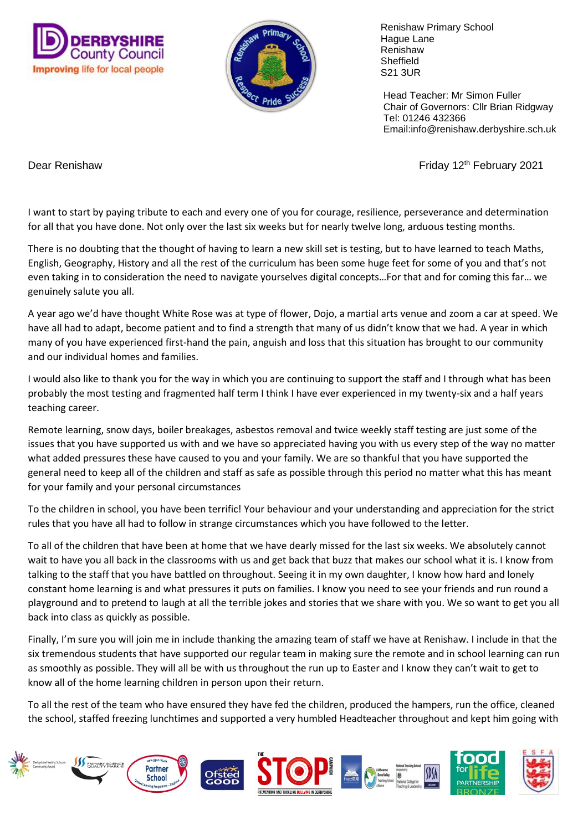



 Renishaw Primary School Hague Lane Renishaw **Sheffield** S21 3UR

 Head Teacher: Mr Simon Fuller Chair of Governors: Cllr Brian Ridgway Tel: 01246 432366 Email:info@renishaw.derbyshire.sch.uk

Dear Renishaw **Friday 12th February 2021** 

I want to start by paying tribute to each and every one of you for courage, resilience, perseverance and determination for all that you have done. Not only over the last six weeks but for nearly twelve long, arduous testing months.

There is no doubting that the thought of having to learn a new skill set is testing, but to have learned to teach Maths, English, Geography, History and all the rest of the curriculum has been some huge feet for some of you and that's not even taking in to consideration the need to navigate yourselves digital concepts…For that and for coming this far… we genuinely salute you all.

A year ago we'd have thought White Rose was at type of flower, Dojo, a martial arts venue and zoom a car at speed. We have all had to adapt, become patient and to find a strength that many of us didn't know that we had. A year in which many of you have experienced first-hand the pain, anguish and loss that this situation has brought to our community and our individual homes and families.

I would also like to thank you for the way in which you are continuing to support the staff and I through what has been probably the most testing and fragmented half term I think I have ever experienced in my twenty-six and a half years teaching career.

Remote learning, snow days, boiler breakages, asbestos removal and twice weekly staff testing are just some of the issues that you have supported us with and we have so appreciated having you with us every step of the way no matter what added pressures these have caused to you and your family. We are so thankful that you have supported the general need to keep all of the children and staff as safe as possible through this period no matter what this has meant for your family and your personal circumstances

To the children in school, you have been terrific! Your behaviour and your understanding and appreciation for the strict rules that you have all had to follow in strange circumstances which you have followed to the letter.

To all of the children that have been at home that we have dearly missed for the last six weeks. We absolutely cannot wait to have you all back in the classrooms with us and get back that buzz that makes our school what it is. I know from talking to the staff that you have battled on throughout. Seeing it in my own daughter, I know how hard and lonely constant home learning is and what pressures it puts on families. I know you need to see your friends and run round a playground and to pretend to laugh at all the terrible jokes and stories that we share with you. We so want to get you all back into class as quickly as possible.

Finally, I'm sure you will join me in include thanking the amazing team of staff we have at Renishaw. I include in that the six tremendous students that have supported our regular team in making sure the remote and in school learning can run as smoothly as possible. They will all be with us throughout the run up to Easter and I know they can't wait to get to know all of the home learning children in person upon their return.

To all the rest of the team who have ensured they have fed the children, produced the hampers, run the office, cleaned the school, staffed freezing lunchtimes and supported a very humbled Headteacher throughout and kept him going with